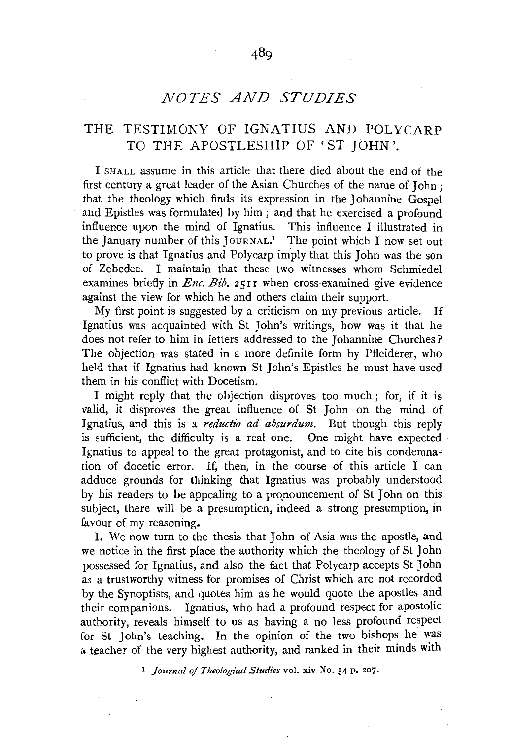## *NOT.C'S AND STUDIES*

## THE TESTIMONY OF IGNATIUS AND POLYCARP TO THE APOSTLESHIP OF 'ST JOHN'.

I SHALL assume in this article that there died about the end of the first century a great leader of the Asian Churches of the name of John ; that the theology which finds its expression in the Johannine Gospel and Epistles was formulated by him ; and that he exercised a profound influence upon the mind of Ignatius. This influence I illustrated in the January number of this JOURNAL.<sup>1</sup> The point which I now set out to prove is that Ignatius and Polycarp imply that this John was the son of Zebedee. I maintain that these two witnesses whom Schmiedel examines briefly in *Enc. Bib.* 2511 when cross-examined give evidence against the view for which he and others claim their support.

My first point is suggested by a criticism on my previous article. If Ignatius was acquainted with St John's writings, how was it that he does not refer to him in letters addressed to the Johannine Churches? The objection was stated in a more definite form by Pfleiderer, who held that if Ignatius had known St John's Epistles he must have used them in his conflict with Docetism.

I might reply that the objection disproves too much; for, if it is valid, it disproves the great influence of St John on the mind of Ignatius, and this is a *reductio ad absurdum.* But though this reply is sufficient, the difficulty is a real one. One might have expected Ignatius to appeal to the great protagonist, and to cite his condemnation of docetic error. If, then, in the course of this article I can adduce grounds for thinking that Ignatius was probably understood by his readers to be appealing to a pronouncement of St John on this subject, there will be a presumption, indeed a strong presumption, in favour of my reasoning.

I. We now turn to the thesis that John of Asia was the apostle, and we notice in the first place the authority which the theology of St John possessed for Ignatius, and also the fact that Polycarp accepts St John as a trustworthy witness for promises of Christ which are not recorded by the Synoptists, and quotes him as he would quote the apostles and their companions. Ignatius, who had a profound respect for apostolic authority, reveals himself to us as having a no less profound respect for St John's teaching. In the opinion of the two bishops he was a teacher of the very highest authority, and ranked in their minds with

1 *journal of Theological Studies* vol. xiv No. 54 P• 207.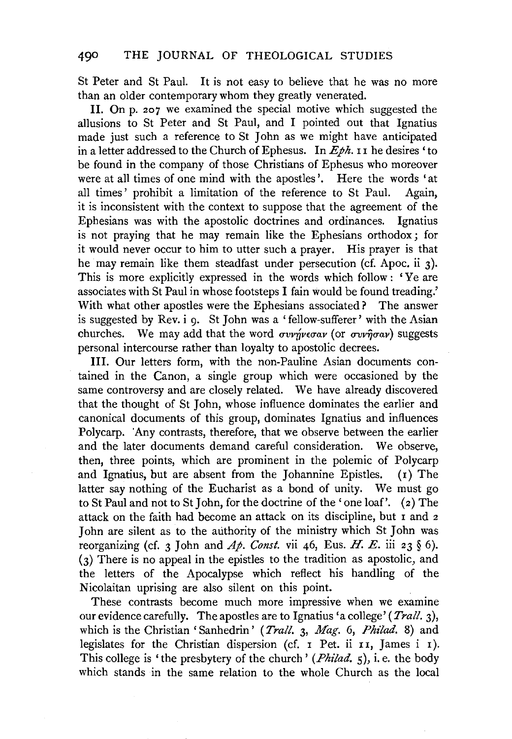St Peter and St Paul. It is not easy to believe that he was no more than an older contemporary whom they greatly venerated.

II. On p. 207 we examined the special motive which suggested the allusions to St Peter and St Paul, and I pointed out that Ignatius made just such a reference to St John as we might have anticipated in a letter addressed to the Church of Ephesus. In  $Eph$ . In the desires 'to be found in the company of those Christians of Ephesus who moreover were at all times of one mind with the apostles'. Here the words 'at all times' prohibit a limitation of the reference to St Paul. Again, it is inconsistent with the context to suppose that the agreement of the Ephesians was with the apostolic doctrines and ordinances. Ignatius is not praying that he may remain like the Ephesians orthodox; for it would never occur to him to utter such a prayer. His prayer is that he may remain like them steadfast under persecution (cf. Apoc. ii 3). This is more explicitly expressed in the words which follow : 'Ye are associates with St Paul in whose footsteps I fain would be found treading.' With what other apostles were the Ephesians associated? The answer is suggested by Rev. i 9. St John was a 'fellow-sufferer' with the Asian churches. We may add that the word *uvvr/veuav* (or <TVv~uav) suggests personal intercourse rather than loyalty to apostolic decrees.

III. Our letters form, with the non-Pauline Asian documents contained in the Canon, a single group which were occasioned by the same controversy and are closely related. We have already discovered that the thought of St John, whose influence dominates the earlier and canonical documents of this group, dominates Ignatius and influences Polycarp. 'Any contrasts, therefore, that we observe between the earlier and the later documents demand careful consideration. We observe, then, three points, which are prominent in the polemic of Polycarp and Ignatius, but are absent from the Johannine Epistles. (1) The latter say nothing of the Eucharist as a bond of unity. We must go to St Paul and not to St John, for the doctrine of the ' one loaf'. (2) The attack on the faith had become an attack on its discipline, but I and 2 John are silent as to the authority of the ministry which St John was reorganizing (cf. 3 John and  $A\phi$ . Const. vii 46, Eus. *H. E.* iii 23  $\S$  6). (3) There is no appeal in the epistles to the tradition as apostolic, and the letters of the Apocalypse which reflect his handling of the Nicolaitan uprising are also silent on this point.

These contrasts become much more impressive when we examine our evidence carefully. The apostles are to Ignatius 'a college' *(Trail.* 3), which is the Christian 'Sanhedrin' *(Trail.* 3, *Mag.* 6, *Philad.* 8) and legislates for the Christian dispersion (cf. I Pet. ii II, James i I). This college is 'the presbytery of the church' *(Philad.* 5), i.e. the body which stands in the same relation to the whole Church as the local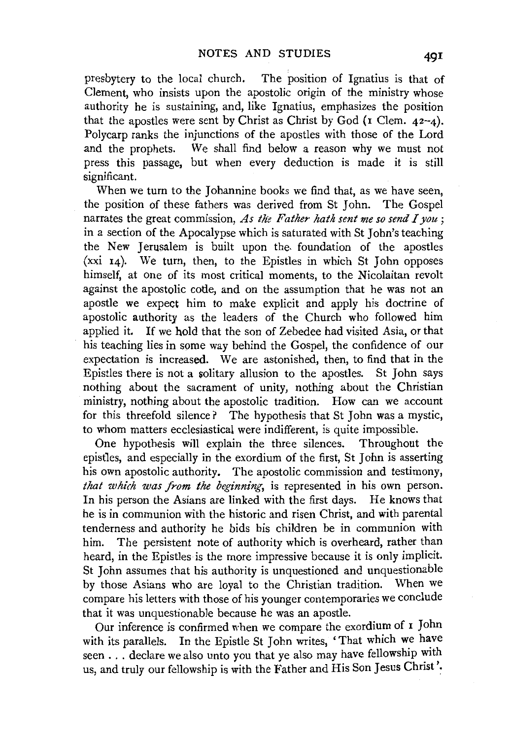presbytery to the local church. The position of Ignatius is that of Clement, who insists upon the apostolic origin of the ministry whose authority he is sustaining, and, like Ignatius, emphasizes the position that the apostles were sent by Christ as Christ by God ( $\alpha$  Clem.  $42-4$ ). Polycarp ranks the injunctions of the apostles with those of the Lord and the prophets. We shall find below a reason why we must not press this passage, but when every deduction is made it is still significant.

When we turn to the Johannine books we find that, as we have seen, the position of these fathers was derived from St John. The Gospel narrates the great commission, *As the Father hath sent me so send I you* ; in a section of the Apocalypse which is saturated with St John's teaching the New Jerusalem is built upon the, foundation of the apostles (xxi 14). We turn, then, to the Epistles in which St John opposes himself, at one of its most critical moments, to the Nicolaitan revolt against the apostolic cotle, and on the assumption that he was not an apostle we expect him to make explicit and apply his doctrine of apostolic authority as the leaders of the Church who followed him applied it. If we hold that the son of Zebedee had visited Asia, or that his teaching lies in some way behind the Gospel, the confidence of our expectation is increased. We are astonished, then, to find that in the Epistles there is not a solitary allusion to the apostles. St John says nothing about the sacrament of unity, nothing about the Christian ministry, nothing about the apostolic tradition. How can we account for this threefold silence? The hypothesis that St John was a mystic, to whom matters ecclesiastical were indifferent, is quite impossible.

One hypothesis will explain the three silences. Throughout the epistles, and especially in the exordium of the first, St John is asserting his own apostolic authority. The apostolic commission and testimony, *that which was from the beginning,* is represented in his own person. In his person the Asians are linked with the first days. He knows that he is in communion with the historic and risen Christ, and with parental tenderness and authority he bids his children be in communion with him. The persistent note of authority which is overheard, rather than heard, in the Epistles is the more impressive because it is only implicit. St John assumes that his authority is unquestioned and unquestionable by those Asians who are loyal to the Christian tradition. When we compare his letters with those of his younger contemporaries we conclude that it was unquestionable because he was an apostle.

Our inference is confirmed when we compare the exordium of  $r$  John with its parallels. In the Epistle St John writes, 'That which we have seen ... declare we also unto you that ye also may have fellowship with us, and truly our fellowship is with the Father and His Son Jesus Christ'.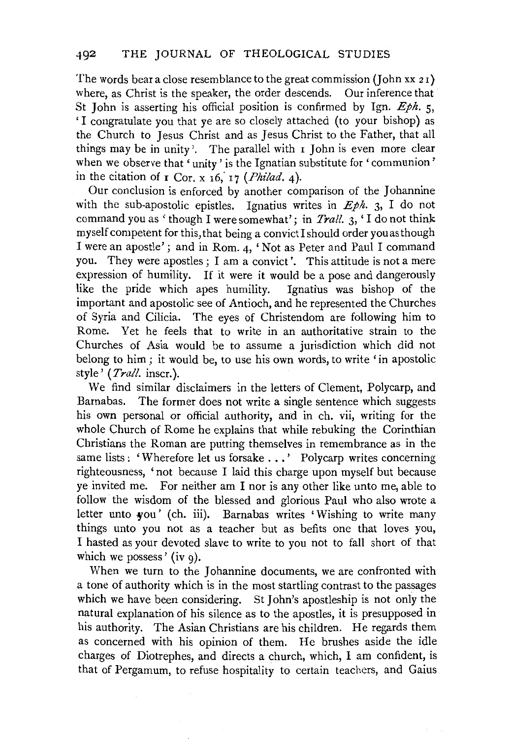The words bear a close resemblance to the great commission (John  $xx\,21$ ) where, as Christ is the speaker, the order descends. Our inference that St John is asserting his official position is confirmed by Ign.  $Eph.$  5, 'I congratulate you that ye are so closely attached (to your bishop) as the Church to Jesus Christ and as Jesus Christ to the Father, that all things may be in unity'. The parallel with r John is even more clear when we observe that 'unity' is the Ignatian substitute for 'communion' in the citation of  $r$  Cor. x 16, 17 *(Philad.* 4).

Our conclusion is enforced by another comparison of the Johannine with the sub-apostolic epistles. Ignatius writes in  $Eph.$  3, I do not command you as ' though I were somewhat'; in *Trail.* 3, ' I do not think myself competent for this, that being a convict I should order you as though I were an apostle'; and in Rom. 4, 'Not as Peter and Paul I command you. They were apostles; I am a convict'. This attitude is not a mere expression of humility. If it were it would be a pose and dangerously like the pride which apes humility. Ignatius was bishop of the important and apostolic see of Antioch, and he represented the Churches of Syria and Cilicia. The eyes of Christendom are following him to Rome. Yet he feels that to write in an authoritative strain to the Churches of Asia would be to assume a jurisdiction which did not belong to him; it would be, to use his own words, to write 'in apostolic style' (*Trall.* inscr.).

We find similar disclaimers in the letters of Clement, Polycarp, and Barnabas. The former does not write a single sentence which suggests his own personal or official authority, and in ch. vii, writing for the whole Church of Rome he explains that while rebuking the Corinthian Christians the Roman are putting themselves in remembrance as in the same lists : 'Wherefore let us forsake . . .' Polycarp writes concerning righteousness, 'not because I laid this charge upon myself but because ye invited me. For neither am I nor is any other like unto me, able to follow the wisdom of the blessed and glorious Paul who also wrote a letter unto you' (ch. iii). Barnabas writes 'Wishing to write many things unto you not as a teacher but as befits one that loves you, I hasted as your devoted slave to write to you not to fall short of that which we possess' (iv  $q$ ).

When we turn to the Johannine documents, we are confronted with a tone of authority which is in the most startling contrast to the passages which we have been considering. St John's apostleship is not only the natural explanation of his silence as to the apostles, it is presupposed in his authority. The Asian Christians are his children. He regards them as concerned with his opinion of them. He brushes aside the idle charges of Diotrephes, and directs a church, which, I am confident, is that of Pergamum, to refuse hospitality to certain teachers, and Gaius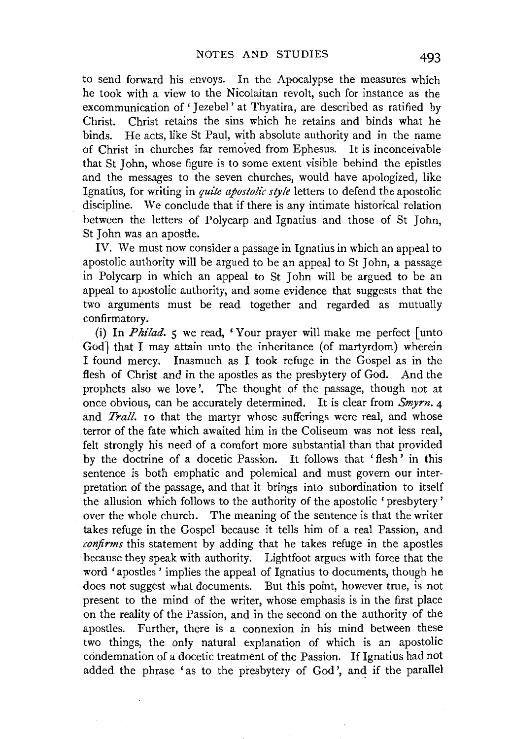to send forward his envoys. In the Apocalypse the measures which he took with a view to the Nicolaitan revolt, such for instance as the excommunication of 'Jezebel' at Thyatira, are described as ratified by Christ. Christ retains the sins which he retains and binds what he binds. He acts, like St Paul, with absolute authority and in the name of Christ in churches far removed from Ephesus. It is inconceivable that St John, whose figure is to some extent visible behind the epistles and the messages to the seven churches, would have apologized, like Ignatius, for writing in *quite apostolic style* letters to defend the apostolic discipline. We conclude that if there is any intimate historical relation between the letters of Polycarp and Ignatius and those of St John, St John was an apostle.

IV. We must now consider a passage in Ignatius in which an appeal to apostolic authority will be argued to be an appeal to St John, a passage in Polycarp in which an appeal to St John will be argued to be an appeal to apostolic authority, and some evidence that suggests that the two arguments must be read together and regarded as mutually confirmatory.

(i) In *Philad.* 5 we read, 'Your prayer will make me perfect [unto God] that I may attain unto the inheritance (of martyrdom) wherein I found mercy. Inasmuch as I took refuge in the Gospel as in the flesh of Christ and in the apostles as the presbytery of God. And the prophets also we love '. The thought of the passage, though not at once obvious, can be accurately determined. It is clear from *Smyrn.* <sup>4</sup> and *Trall.* ro that the martyr whose sufferings were real, and whose terror of the fate which awaited him in the Coliseum was not less real, felt strongly his need of a comfort more substantial than that provided by the doctrine of a docetic Passion. It follows that ' flesh ' in this sentence is both emphatic and polemical and must govern our interpretation of the passage, and that it brings into subordination to itself the allusion which follows to the authority of the apostolic 'presbytery' over the whole church. The meaning of the sentence is that the writer takes refuge in the Gospel because it tells him of a real Passion, and *confirms* this statement by adding that he takes refuge in the apostles because they speak with authority. Lightfoot argues with force that the word 'apostles ' implies the appeal of Ignatius to documents, though he does not suggest what documents. But this point, however true, is not present to the mind of the writer, whose emphasis is in the first place on the reality of the Passion, and in the second on the authority of the apostles. Further, there is a connexion in his mind between these two things, the only natural explanation of which is an apostolic condemnation of a docetic treatment of the Passion. If Ignatius had not added the phrase 'as to the presbytery of God', and if the parallel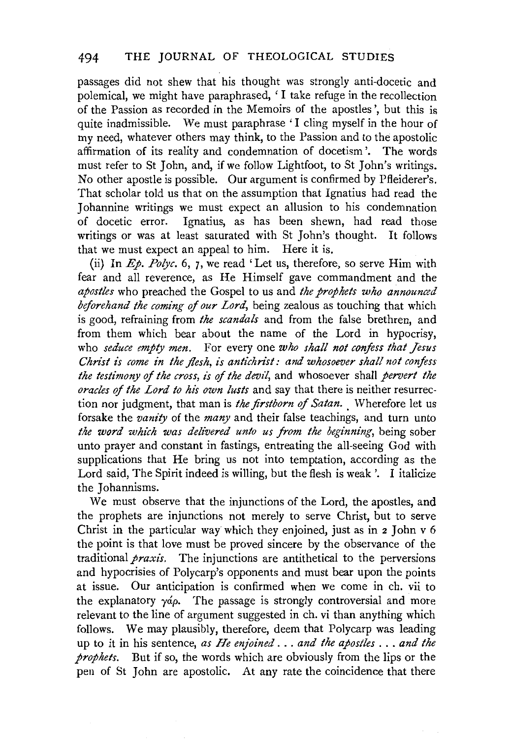passages did not shew that his thought was strongly anti-docetic and polemical, we might have paraphrased, 'I take refuge in the recollection of the Passion as recorded in the Memoirs of the apostles', but this is quite inadmissible. We must paraphrase 'I cling myself in the hour of my need, whatever others may think, to the Passion and to the apostolic affirmation of its reality and condemnation of docetism '. The words must refer to St John, and, if we follow Lightfoot, to St John's writings. No other apostle is possible. Our argument is confirmed by Pfleiderer's. That scholar told us that on the assumption that Ignatius had read the J ohannine writings we must expect an allusion to his condemnation of docetic error. Ignatius, as has been shewn, had read those writings or was at least saturated with St John's thought. It follows that we must expect an appeal to him. Here it is.

(ii) In  $E_p$ ,  $Polyc$ , 6, 7, we read 'Let us, therefore, so serve Him with fear and all reverence, as He Himself gave commandment and the *apostles* who preached the Gospel to us and *the prophets who announced biforehand the coming of our Lord,* being zealous as touching that which is good, refraining from *the scandals* and from the false brethren, and from them which bear about the name of the Lord in hypocrisy, who *seduce empty men.* For every one *who shall not confess that Jesus Christ is come in the flesh, is antichn"st: and whosoever shall not confess the testimony of the cross, is of the devil*, and whosoever shall *pervert the oracles of the Lord to his own lusts* and say that there is neither resurrection nor judgment, that man is *the firstborn of Satan*. Wherefore let us forsake the *vanity* of the *many* and their false teachings, and turn unto *the word which was delivered unto us from the beginning,* being sober unto prayer and constant in fastings, entreating the all-seeing God with supplications that He bring us not into temptation, according as the Lord said, The Spirit indeed is willing, but the flesh is weak '. I italicize the Johannisms.

We must observe that the injunctions of the Lord, the apostles, and the prophets are injunctions not merely to serve Christ, but to serve Christ in the particular way which they enjoined, just as in *z* John v 6 the point is that love must be proved sincere by the observance of the traditional *praxis.* The injunctions are antithetical to the perversions and hypocrisies of Polycarp's opponents and must bear upon the points at issue. Our anticipation is confirmed when we come in ch. vii to the explanatory  $\gamma \dot{\alpha}$ . The passage is strongly controversial and more relevant to the line of argument suggested in ch. vi than anything which follows. We may plausibly, therefore, deem that Polycarp was leading up to it in his sentence, *as He enjoined* ... *and the apostles* ... *and the prophets.* But if so, the words which are obviously from the lips or the pen of St John are apostolic. At any rate the coincidence that there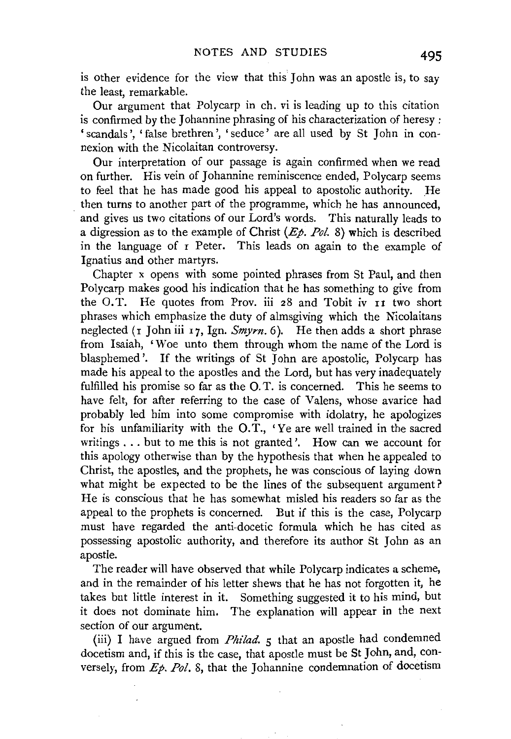is other evidence for the view that this John was an apostle is, to say the least, remarkable.

Our argument that Polycarp in ch. vi is leading up to this citation is confirmed by the Johannine phrasing of his characterization of heresy : 'scandals', 'false brethren', 'seduce' are all used by St John in connexion with the Nicolaitan controversy.

Our interpretation of our passage is again confirmed when we read on further. His vein of Johannine reminiscence ended, Polycarp seems to feel that he has made good his appeal to apostolic authority. He then turns to another part of the programme, which he has announced, and gives us two citations of our Lord's words. This naturally leads to a digression as to the example of Christ *(Ep. Pol.* 8) which is described in the language of r Peter. This leads on again to the example of Ignatius and other martyrs.

Chapter x opens with some pointed phrases from St Paul, and then Polycarp makes good his indication that he has something to give from the O.T. He quotes from Prov. iii 28 and Tobit iv II two short phrases which emphasize the duty of almsgiving which the Nicolaitans neglected (1 John iii 17, Ign. *Smyrn.* 6). He then adds a short phrase from Isaiah, 'Woe unto them through whom the name of the Lord is blasphemed'. If the writings of St John are apostolic, Polycarp has made his appeal to the apostles and the Lord, but has very inadequately fulfilled his promise so far as the O.T. is concerned. This he seems to have felt, for after referring to the case of Valens, whose avarice had probably led him into some compromise with idolatry, he apologizes for his unfamiliarity with the 0. T., 'Ye are well trained in the sacred writings ... but to me this is not granted'. How can we account for this apology otherwise than by the hypothesis that when he appealed to Christ, the apostles, and the prophets, he was conscious of laying down what might be expected to be the lines of the subsequent argument? He is conscious that he has somewhat misled his readers so far as the appeal to the prophets is concerned. But if this is the case, Polycarp must have regarded the anti-docetic formula which he has cited as possessing apostolic authority, and therefore its author St John as an apostle.

The reader will have observed that while Polycarp indicates a scheme, and in the remainder of his letter shews that he has not forgotten it, he takes but little interest in it. Something suggested it to his mind, but it does not dominate him. The explanation will appear in the next section of our argument.

(iii) I have argued from *Phi/ad.* 5 that an apostle had condemned docetism and, if this is the case, that apostle must be St John, and, conversely, from *Ep. Pol.* 8, that the Johannine condemnation of docetism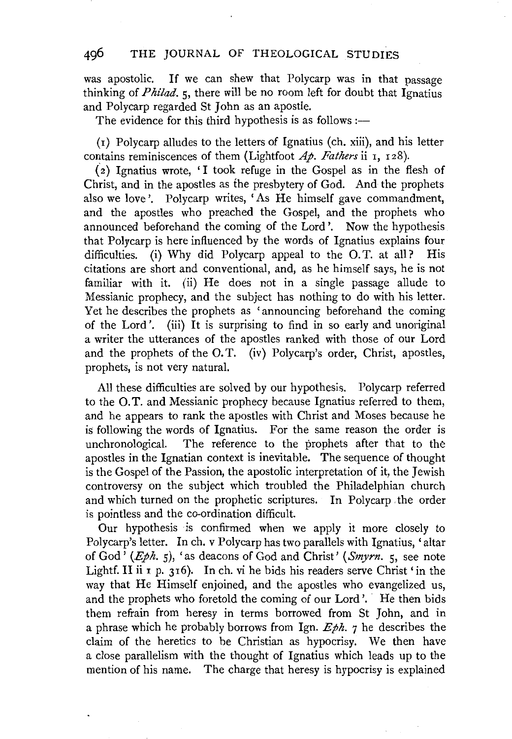was apostolic. If we can shew that Polycarp was in that passage thinking of *Philad*. *5*, there will be no room left for doubt that Ignatius and Polycarp regarded St John as an apostle.

The evidence for this third hypothesis is as follows :—

(I) Polycarp alludes to the letters of Ignatius (ch. xiii), and his letter contains reminiscences of them (Lightfoot *Ap. Fathers* ii I, rz8).

 $(i)$  Ignatius wrote, 'I took refuge in the Gospel as in the flesh of Christ, and in the apostles as the presbytery of God. And the prophets also we love'. Polycarp writes, 'As He himself gave commandment, and the apostles who preached the Gospel, and the prophets who announced beforehand the coming of the Lord'. Now the hypothesis that Polycarp is here influenced by the words of Ignatius explains four difficulties. (i) Why did Polycarp appeal to the O.T. at all? His citations are short and conventional, and, as he himself says, he is not familiar with it. (ii) He does not in a single passage allude to Messianic prophecy, and the subject has nothing to do with his letter. Yet he describes the prophets as 'announcing beforehand the coming of the Lord'. (iii) It is surprising to find in so early and unoriginal a writer the utterances of the apostles ranked with those of our Lord and the prophets of the O.T. (iv) Polycarp's order, Christ, apostles, prophets, is not very natural.

All these difficulties are solved by our hypothesis. Polycarp referred to the 0. T. and Messianic prophecy because Ignatius referred to them, and he appears to rank the apostles with Christ and Moses because he is following the words of Ignatius. For the same reason the order is unchronological. The reference to the prophets after that to the apostles in the Ignatian context is inevitable. The sequence of thought is the Gospel of the Passion, the apostolic interpretation of it, the Jewish controversy on the subject which troubled the Philadelphian church and which turned on the prophetic scriptures. In Polycarp the order is pointless and the co-ordination difficult.

Our hypothesis is confirmed when we apply it more closely to Polycarp's letter. In ch. v Polycarp has two parallels with Ignatius, 'altar of God<sup>'</sup> (*Eph.*  $\zeta$ ), 'as deacons of God and Christ' (*Smyrn.*  $\zeta$ , see note Lightf. II ii I p. 316). In ch. vi he bids his readers serve Christ 'in the way that He Himself enjoined, and the apostles who evangelized us, and the prophets who foretold the coming of our Lord'. He then bids them refrain from heresy in terms borrowed from St John, and in a phrase which he probably borrows from Ign. *Eph.* 7 he describes the claim of the heretics to be Christian as hypocrisy. We then have a close parallelism with the thought of Ignatius which leads up to the mention of his name. The charge that heresy is hypocrisy is explained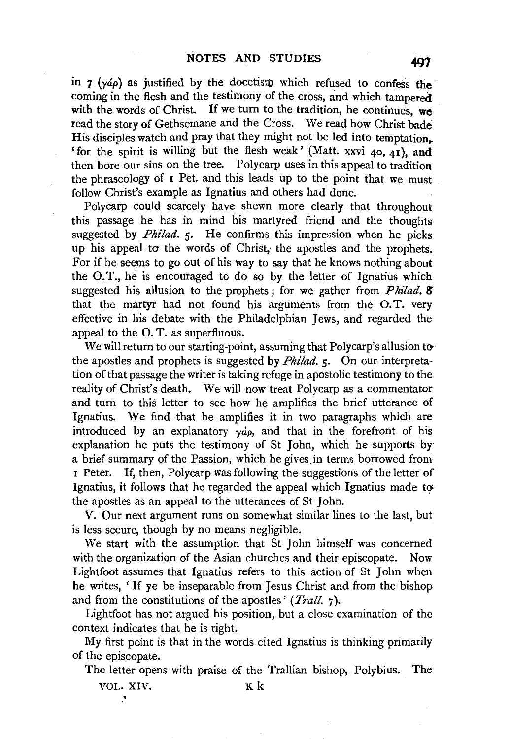in 7 ( $yá<sub>0</sub>$ ) as justified by the docetism which refused to confess the coming in the flesh and the testimony of the cross, and which tampered with the words of Christ. If we turn to the tradition, he continues, we read the story of Gethsemane and the Cross. We read how Christ bade His disciples watch and pray that they might not be led into temptation. 'for the spirit is willing but the flesh weak' (Matt. xxvi 40, 4I ), and then bore our sins on the tree. Polycarp uses in this appeal to tradition the phraseology of I Pet. and this leads up to the point that we must follow Christ's example as Ignatius and others had done.

Polycarp could scarcely have shewn more clearly that throughout this passage he has in mind his martyred friend and the thoughts suggested by *Philad*. 5. He confirms this impression when he picks up his appeal to the words of Christ, the apostles and the prophets. For if he seems to go out of his way to say that he knows nothing about the O.T., he is encouraged to do so by the letter of Ignatius which suggested his allusion to the prophets; for we gather from *Philad.* **8** that the martyr had not found his arguments from the O.T. very effective in his debate with the Philadelphian Jews, and regarded the appeal to the 0. T. as superfluous.

We will return to our starting-point, assuming that Polycarp's allusion to the apostles and prophets is suggested by *Philad.* 5· On our interpretation of that passage the writer is taking refuge in apostolic testimony to the reality of Christ's death. We will now treat Polycarp as a commentator and turn to this letter to see how he amplifies the brief utterance of Ignatius. We find that he amplifies it in two paragraphs which are introduced by an explanatory  $\gamma d\rho$ , and that in the forefront of his explanation he puts the testimony of St John, which he supports by a brief summary of the Passion, which he gives in terms borrowed from If, then, Polycarp was following the suggestions of the letter of Ignatius, it follows that he regarded the appeal which Ignatius made to the apostles as an appeal to the utterances of St John.

V. Our next argument runs on somewhat similar lines to the last, but is less secure, though by no means negligible.

We start with the assumption that St John himself was concerned with the organization of the Asian churches and their episcopate. Now Lightfoot assumes that Ignatius refers to this action of St John when he writes, ' If ye be inseparable from Jesus Christ and from the bishop and from the constitutions of the apostles' *(Trail.* 7).

Lightfoot has not argued his position, but a close examination of the context indicates that he is right.

My first point is that in the words cited Ignatius is thinking primarily of the episcopate.

 $\bullet$ 

The letter opens with praise of the Trallian bishop, Polybius. The VOL. XIV. K k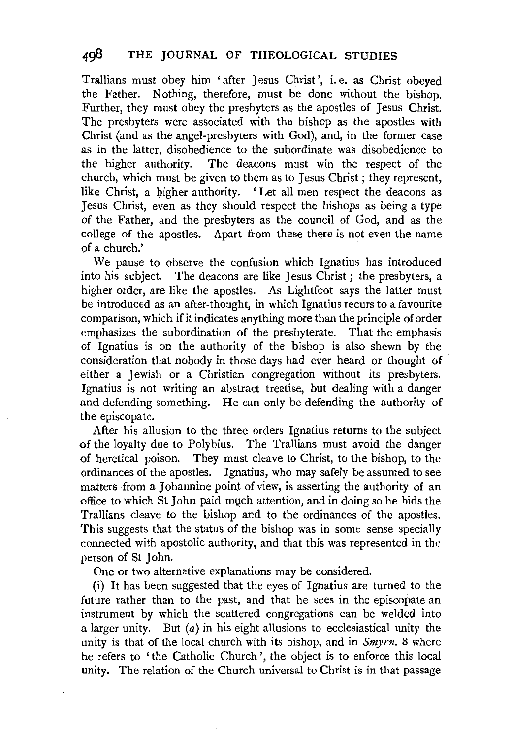Trallians must obey him 'after Jesus Christ', i.e. as Christ obeyed the Father. Nothing, therefore, must be done without the bishop. Further, they must obey the presbyters as the apostles of Tesus Christ. The presbyters were associated with the bishop as the apostles with Christ (and as the angel-presbyters with God), and, in the former case as in the latter, disobedience to the subordinate was disobedience to the higher authority. The deacons must win the respect of the The deacons must win the respect of the church, which must be given to them as to Jesus Christ; they represent, like Christ, a higher authority. 'Let all men respect the deacons as Jesus Christ, even as they should respect the bishops as being a type of the Father, and the presbyters as the council of God, and as the college of the apostles. Apart from these there is not even the name of a church.'

We pause to observe the confusion which Ignatius has introduced into his subject. The deacons are like Jesus Christ; the presbyters, a higher order, are like the apostles. As Lightfoot says the latter must be introduced as an after-thought, in which Ignatius recurs to a favourite comparison, which if it indicates anything more than the principle of order emphasizes the subordination of the presbyterate. That the emphasis of Ignatius is on the authority of the bishop is also shewn by the consideration that nobody in those days had ever heard or thought of either a Jewish or a Christian congregation without its presbyters. Ignatius is not writing an abstract treatise, but dealing with a danger and defending something. He can only be defending the authority of the episcopate.

After his allusion to the three orders Ignatius returns to the subject of the loyalty due to Polybius. The Trallians must avoid the danger of heretical poison. They must cleave to Christ, to the bishop, to the ordinances of the apostles. Ignatius, who may safely be assumed to see matters from a Johannine point of view, is asserting the authority of an office to which St John paid mvch attention, and in doing so he bids the Trallians cleave to the bishop and to the ordinances of the apostles. This suggests that the status of the bishop was in some sense specially connected with apostolic authority, and that this was represented in the person of St John.

One or two alternative explanations may be considered.

(i) It has been suggested that the eyes of Ignatius are turned to the future rather than to the past, and that he sees in the episcopate an instrument by which the scattered congregations can be welded into a larger unity. But  $(a)$  in his eight allusions to ecclesiastical unity the unity is that of the local church with its bishop, and in *Smyrn.* 8 where he refers to 'the Catholic Church', the object is to enforce this local unity. The relation of the Church universal to Christ is in that passage